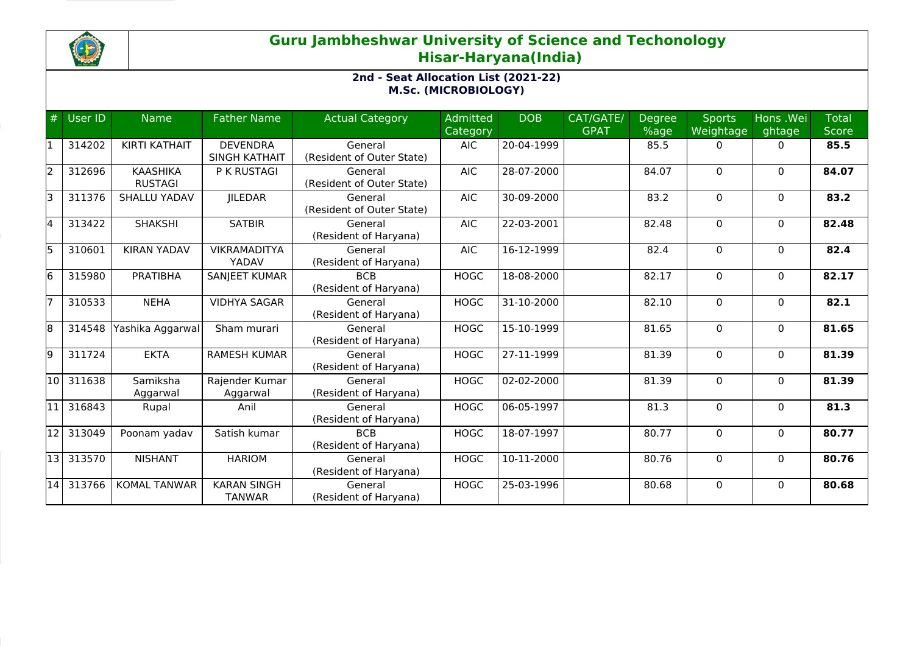

## **Guru Jambheshwar University of Science and Techonology Hisar-Haryana(India)**

## **2nd - Seat Allocation List (2021-22) M.Sc. (MICROBIOLOGY)**

| #  | User ID                | <b>Name</b>                       | <b>Father Name</b>                      | <b>Actual Category</b>               | <b>Admitted</b><br>Category | <b>DOB</b> | CAT/GATE/<br><b>GPAT</b> | <b>Degree</b><br>%age | <b>Sports</b><br>Weightage | Hons .Wei<br>ghtage | <b>Total</b><br><b>Score</b> |
|----|------------------------|-----------------------------------|-----------------------------------------|--------------------------------------|-----------------------------|------------|--------------------------|-----------------------|----------------------------|---------------------|------------------------------|
| l1 | 314202                 | <b>KIRTI KATHAIT</b>              | <b>DEVENDRA</b><br><b>SINGH KATHAIT</b> | General<br>(Resident of Outer State) | <b>AIC</b>                  | 20-04-1999 |                          | 85.5                  | 0                          | $\Omega$            | 85.5                         |
| 2  | 312696                 | <b>KAASHIKA</b><br><b>RUSTAGI</b> | P K RUSTAGI                             | General<br>(Resident of Outer State) | <b>AIC</b>                  | 28-07-2000 |                          | 84.07                 | $\Omega$                   | $\mathbf{0}$        | 84.07                        |
| Б  | 311376                 | <b>SHALLU YADAV</b>               | <b>JILEDAR</b>                          | General<br>(Resident of Outer State) | <b>AIC</b>                  | 30-09-2000 |                          | 83.2                  | 0                          | $\mathbf{0}$        | 83.2                         |
| 4  | 313422                 | <b>SHAKSHI</b>                    | <b>SATBIR</b>                           | General<br>(Resident of Haryana)     | <b>AIC</b>                  | 22-03-2001 |                          | 82.48                 | $\Omega$                   | $\mathbf{0}$        | 82.48                        |
| 5  | 310601                 | <b>KIRAN YADAV</b>                | <b>VIKRAMADITYA</b><br>YADAV            | General<br>(Resident of Haryana)     | <b>AIC</b>                  | 16-12-1999 |                          | 82.4                  | $\Omega$                   | $\mathbf{0}$        | 82.4                         |
| 6  | 315980                 | <b>PRATIBHA</b>                   | <b>SANJEET KUMAR</b>                    | <b>BCB</b><br>(Resident of Haryana)  | <b>HOGC</b>                 | 18-08-2000 |                          | 82.17                 | 0                          | $\mathbf{0}$        | 82.17                        |
| 17 | 310533                 | <b>NEHA</b>                       | <b>VIDHYA SAGAR</b>                     | General<br>(Resident of Haryana)     | <b>HOGC</b>                 | 31-10-2000 |                          | 82.10                 | $\Omega$                   | $\mathbf{0}$        | 82.1                         |
| 8  | 314548                 | Yashika Aggarwal                  | Sham murari                             | General<br>(Resident of Haryana)     | <b>HOGC</b>                 | 15-10-1999 |                          | 81.65                 | 0                          | $\mathbf{0}$        | 81.65                        |
| l9 | 311724                 | <b>EKTA</b>                       | <b>RAMESH KUMAR</b>                     | General<br>(Resident of Haryana)     | <b>HOGC</b>                 | 27-11-1999 |                          | 81.39                 | 0                          | $\mathbf{0}$        | 81.39                        |
| 10 | 311638                 | Samiksha<br>Aggarwal              | Rajender Kumar<br>Aggarwal              | General<br>(Resident of Haryana)     | <b>HOGC</b>                 | 02-02-2000 |                          | 81.39                 | $\Omega$                   | $\Omega$            | 81.39                        |
| 11 | 316843                 | Rupal                             | Anil                                    | General<br>(Resident of Haryana)     | <b>HOGC</b>                 | 06-05-1997 |                          | 81.3                  | 0                          | $\mathbf{0}$        | 81.3                         |
| 12 | 313049                 | Poonam yadav                      | Satish kumar                            | <b>BCB</b><br>(Resident of Haryana)  | <b>HOGC</b>                 | 18-07-1997 |                          | 80.77                 | $\Omega$                   | $\Omega$            | 80.77                        |
|    | $\overline{13}$ 313570 | <b>NISHANT</b>                    | <b>HARIOM</b>                           | General<br>(Resident of Haryana)     | <b>HOGC</b>                 | 10-11-2000 |                          | 80.76                 | 0                          | 0                   | 80.76                        |
| 14 | 313766                 | <b>KOMAL TANWAR</b>               | <b>KARAN SINGH</b><br><b>TANWAR</b>     | General<br>(Resident of Haryana)     | <b>HOGC</b>                 | 25-03-1996 |                          | 80.68                 | $\Omega$                   | $\Omega$            | 80.68                        |